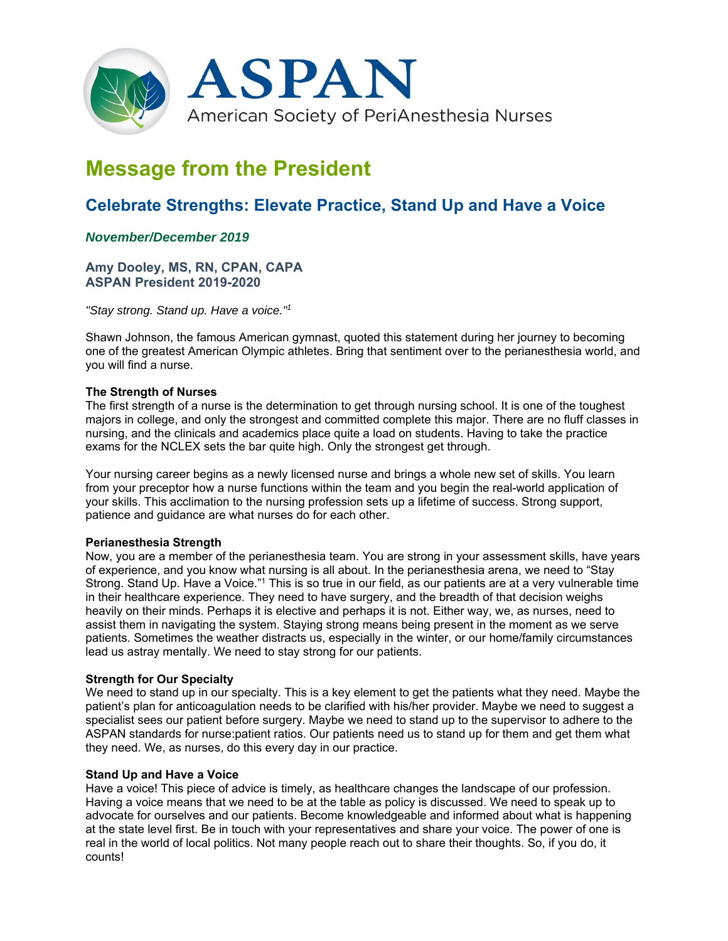

# **Message from the President**

# **Celebrate Strengths: Elevate Practice, Stand Up and Have a Voice**

# *November/December 2019*

**Amy Dooley, MS, RN, CPAN, CAPA ASPAN President 2019-2020** 

*"Stay strong. Stand up. Have a voice."1*

Shawn Johnson, the famous American gymnast, quoted this statement during her journey to becoming one of the greatest American Olympic athletes. Bring that sentiment over to the perianesthesia world, and you will find a nurse.

#### **The Strength of Nurses**

The first strength of a nurse is the determination to get through nursing school. It is one of the toughest majors in college, and only the strongest and committed complete this major. There are no fluff classes in nursing, and the clinicals and academics place quite a load on students. Having to take the practice exams for the NCLEX sets the bar quite high. Only the strongest get through.

Your nursing career begins as a newly licensed nurse and brings a whole new set of skills. You learn from your preceptor how a nurse functions within the team and you begin the real-world application of your skills. This acclimation to the nursing profession sets up a lifetime of success. Strong support, patience and guidance are what nurses do for each other.

#### **Perianesthesia Strength**

Now, you are a member of the perianesthesia team. You are strong in your assessment skills, have years of experience, and you know what nursing is all about. In the perianesthesia arena, we need to "Stay Strong. Stand Up. Have a Voice."1 This is so true in our field, as our patients are at a very vulnerable time in their healthcare experience. They need to have surgery, and the breadth of that decision weighs heavily on their minds. Perhaps it is elective and perhaps it is not. Either way, we, as nurses, need to assist them in navigating the system. Staying strong means being present in the moment as we serve patients. Sometimes the weather distracts us, especially in the winter, or our home/family circumstances lead us astray mentally. We need to stay strong for our patients.

### **Strength for Our Specialty**

We need to stand up in our specialty. This is a key element to get the patients what they need. Maybe the patient's plan for anticoagulation needs to be clarified with his/her provider. Maybe we need to suggest a specialist sees our patient before surgery. Maybe we need to stand up to the supervisor to adhere to the ASPAN standards for nurse:patient ratios. Our patients need us to stand up for them and get them what they need. We, as nurses, do this every day in our practice.

#### **Stand Up and Have a Voice**

Have a voice! This piece of advice is timely, as healthcare changes the landscape of our profession. Having a voice means that we need to be at the table as policy is discussed. We need to speak up to advocate for ourselves and our patients. Become knowledgeable and informed about what is happening at the state level first. Be in touch with your representatives and share your voice. The power of one is real in the world of local politics. Not many people reach out to share their thoughts. So, if you do, it counts!